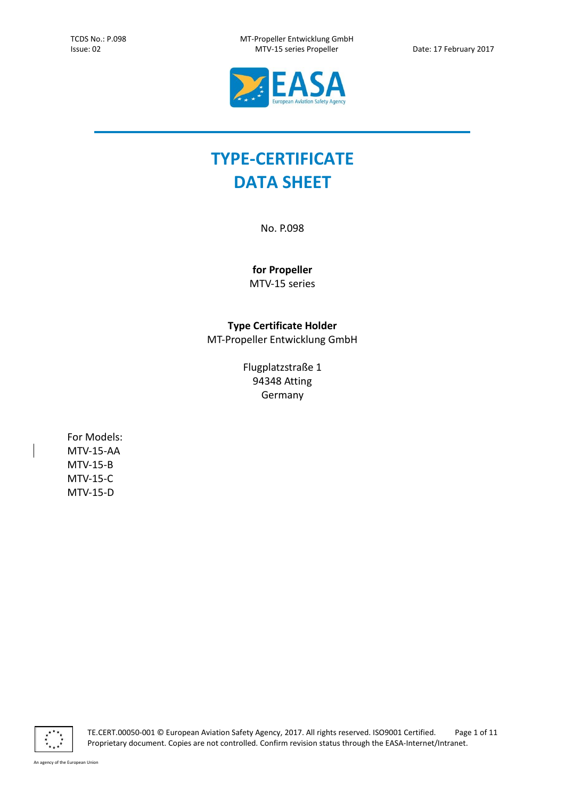TCDS No.: P.098 MT-Propeller Entwicklung GmbH<br>
Issue: 02 MTV-15 series Propeller Issue: 02 MTV-15 series Propeller Date: 17 February 2017



# **TYPE-CERTIFICATE DATA SHEET**

No. P.098

**for Propeller** MTV-15 series

# **Type Certificate Holder** MT-Propeller Entwicklung GmbH

Flugplatzstraße 1 94348 Atting Germany

For Models: MTV-15-AA MTV-15-B MTV-15-C MTV-15-D

 $\overline{\cdots}$ 

TE.CERT.00050-001 © European Aviation Safety Agency, 2017. All rights reserved. ISO9001 Certified. Page 1 of 11 Proprietary document. Copies are not controlled. Confirm revision status through the EASA-Internet/Intranet.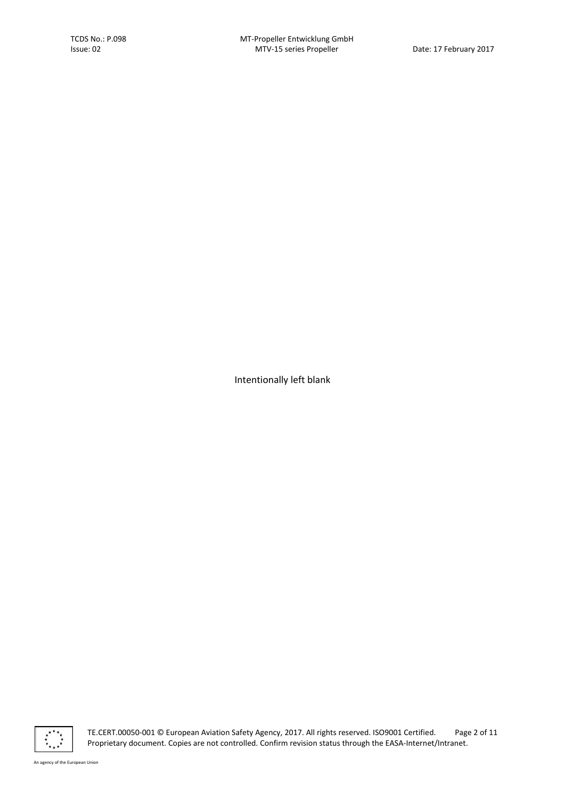Intentionally left blank



TE.CERT.00050-001 © European Aviation Safety Agency, 2017. All rights reserved. ISO9001 Certified. Page 2 of 11 Proprietary document. Copies are not controlled. Confirm revision status through the EASA-Internet/Intranet.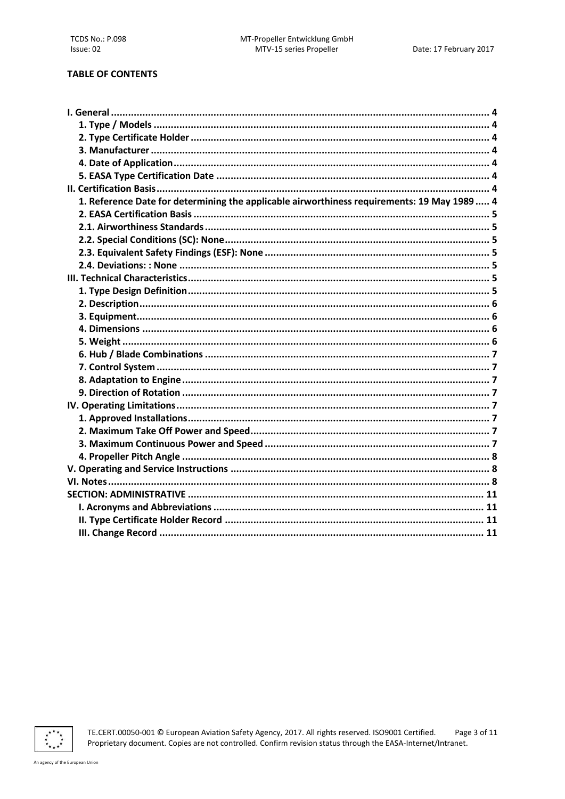# **TABLE OF CONTENTS**

| 1. Reference Date for determining the applicable airworthiness requirements: 19 May 1989  4 |  |
|---------------------------------------------------------------------------------------------|--|
|                                                                                             |  |
|                                                                                             |  |
|                                                                                             |  |
|                                                                                             |  |
|                                                                                             |  |
|                                                                                             |  |
|                                                                                             |  |
|                                                                                             |  |
|                                                                                             |  |
|                                                                                             |  |
|                                                                                             |  |
|                                                                                             |  |
|                                                                                             |  |
|                                                                                             |  |
|                                                                                             |  |
|                                                                                             |  |
|                                                                                             |  |
|                                                                                             |  |
|                                                                                             |  |
|                                                                                             |  |
|                                                                                             |  |
|                                                                                             |  |
|                                                                                             |  |
|                                                                                             |  |
|                                                                                             |  |
|                                                                                             |  |
|                                                                                             |  |

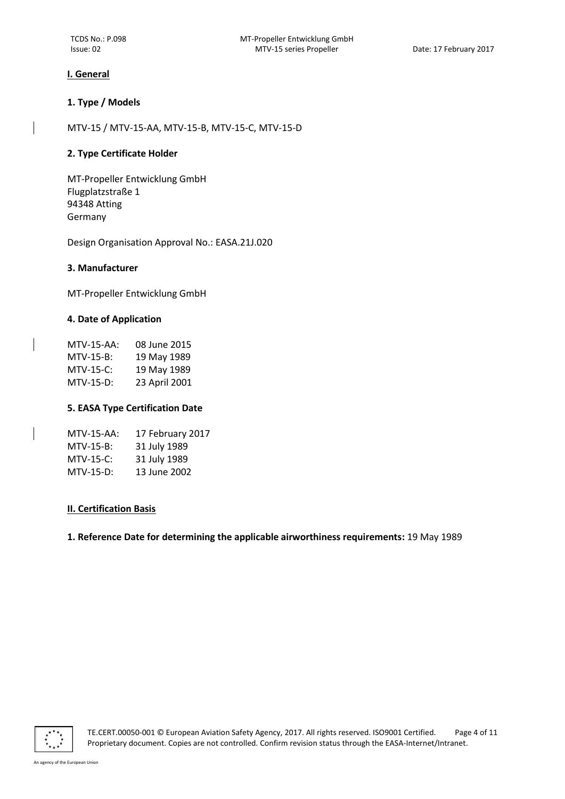## <span id="page-3-0"></span>**I. General**

# <span id="page-3-1"></span>**1. Type / Models**

MTV-15 / MTV-15-AA, MTV-15-B, MTV-15-C, MTV-15-D

# <span id="page-3-2"></span>**2. Type Certificate Holder**

MT-Propeller Entwicklung GmbH Flugplatzstraße 1 94348 Atting Germany

Design Organisation Approval No.: EASA.21J.020

## <span id="page-3-3"></span>**3. Manufacturer**

MT-Propeller Entwicklung GmbH

## <span id="page-3-4"></span>**4. Date of Application**

| MTV-15-AA: | 08 June 2015  |
|------------|---------------|
| MTV-15-B:  | 19 May 1989   |
| MTV-15-C:  | 19 May 1989   |
| MTV-15-D:  | 23 April 2001 |

## <span id="page-3-5"></span>**5. EASA Type Certification Date**

| <b>MTV-15-AA:</b> | 17 February 2017 |
|-------------------|------------------|
| $MTV-15-B:$       | 31 July 1989     |
| $MTV-15-C$ :      | 31 July 1989     |
| <b>MTV-15-D:</b>  | 13 June 2002     |

## <span id="page-3-6"></span>**II. Certification Basis**

<span id="page-3-7"></span>**1. Reference Date for determining the applicable airworthiness requirements:** 19 May 1989



TE.CERT.00050-001 © European Aviation Safety Agency, 2017. All rights reserved. ISO9001 Certified. Page 4 of 11 Proprietary document. Copies are not controlled. Confirm revision status through the EASA-Internet/Intranet.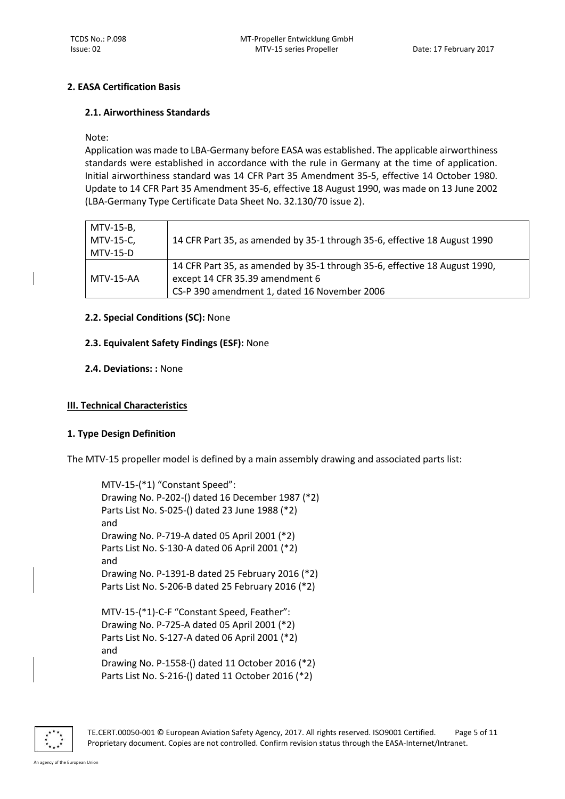## <span id="page-4-0"></span>**2. EASA Certification Basis**

## <span id="page-4-1"></span>**2.1. Airworthiness Standards**

Note:

Application was made to LBA-Germany before EASA was established. The applicable airworthiness standards were established in accordance with the rule in Germany at the time of application. Initial airworthiness standard was 14 CFR Part 35 Amendment 35-5, effective 14 October 1980. Update to 14 CFR Part 35 Amendment 35-6, effective 18 August 1990, was made on 13 June 2002 (LBA-Germany Type Certificate Data Sheet No. 32.130/70 issue 2).

| MTV-15-B,<br>MTV-15-C,<br><b>MTV-15-D</b> | 14 CFR Part 35, as amended by 35-1 through 35-6, effective 18 August 1990                                                                                     |
|-------------------------------------------|---------------------------------------------------------------------------------------------------------------------------------------------------------------|
| MTV-15-AA                                 | 14 CFR Part 35, as amended by 35-1 through 35-6, effective 18 August 1990,<br>except 14 CFR 35.39 amendment 6<br>CS-P 390 amendment 1, dated 16 November 2006 |

## <span id="page-4-2"></span>**2.2. Special Conditions (SC):** None

## <span id="page-4-3"></span>**2.3. Equivalent Safety Findings (ESF):** None

<span id="page-4-4"></span>**2.4. Deviations: :** None

## <span id="page-4-5"></span>**III. Technical Characteristics**

## <span id="page-4-6"></span>**1. Type Design Definition**

The MTV-15 propeller model is defined by a main assembly drawing and associated parts list:

MTV-15-(\*1) "Constant Speed": Drawing No. P-202-() dated 16 December 1987 (\*2) Parts List No. S-025-() dated 23 June 1988 (\*2) and Drawing No. P-719-A dated 05 April 2001 (\*2) Parts List No. S-130-A dated 06 April 2001 (\*2) and Drawing No. P-1391-B dated 25 February 2016 (\*2) Parts List No. S-206-B dated 25 February 2016 (\*2)

MTV-15-(\*1)-C-F "Constant Speed, Feather": Drawing No. P-725-A dated 05 April 2001 (\*2) Parts List No. S-127-A dated 06 April 2001 (\*2) and Drawing No. P-1558-() dated 11 October 2016 (\*2) Parts List No. S-216-() dated 11 October 2016 (\*2)



TE.CERT.00050-001 © European Aviation Safety Agency, 2017. All rights reserved. ISO9001 Certified. Page 5 of 11 Proprietary document. Copies are not controlled. Confirm revision status through the EASA-Internet/Intranet.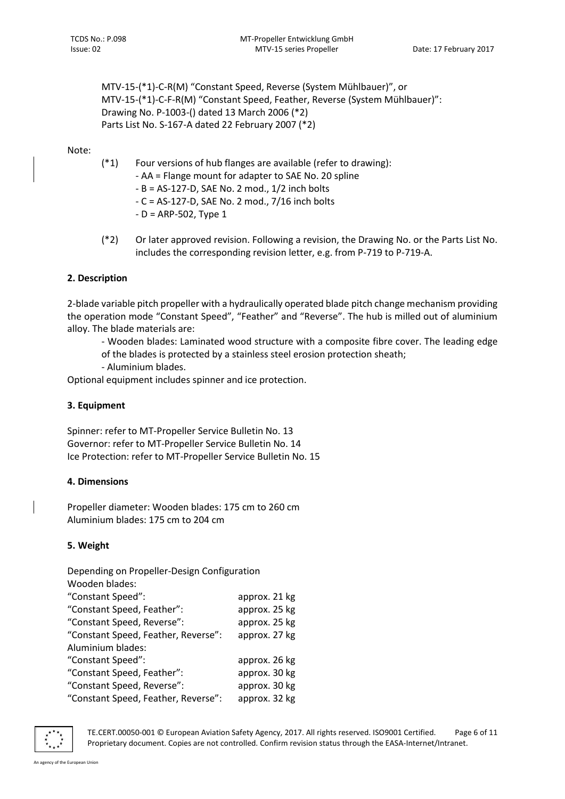MTV-15-(\*1)-C-R(M) "Constant Speed, Reverse (System Mühlbauer)", or MTV-15-(\*1)-C-F-R(M) "Constant Speed, Feather, Reverse (System Mühlbauer)": Drawing No. P-1003-() dated 13 March 2006 (\*2) Parts List No. S-167-A dated 22 February 2007 (\*2)

Note:

- (\*1) Four versions of hub flanges are available (refer to drawing):
	- AA = Flange mount for adapter to SAE No. 20 spline
	- B = AS-127-D, SAE No. 2 mod., 1/2 inch bolts
	- C = AS-127-D, SAE No. 2 mod., 7/16 inch bolts
	- $-D = ARP-502$ , Type 1
- (\*2) Or later approved revision. Following a revision, the Drawing No. or the Parts List No. includes the corresponding revision letter, e.g. from P-719 to P-719-A.

## <span id="page-5-0"></span>**2. Description**

2-blade variable pitch propeller with a hydraulically operated blade pitch change mechanism providing the operation mode "Constant Speed", "Feather" and "Reverse". The hub is milled out of aluminium alloy. The blade materials are:

- Wooden blades: Laminated wood structure with a composite fibre cover. The leading edge

- of the blades is protected by a stainless steel erosion protection sheath;
- Aluminium blades.

Optional equipment includes spinner and ice protection.

## <span id="page-5-1"></span>**3. Equipment**

Spinner: refer to MT-Propeller Service Bulletin No. 13 Governor: refer to MT-Propeller Service Bulletin No. 14 Ice Protection: refer to MT-Propeller Service Bulletin No. 15

## <span id="page-5-2"></span>**4. Dimensions**

Propeller diameter: Wooden blades: 175 cm to 260 cm Aluminium blades: 175 cm to 204 cm

## <span id="page-5-3"></span>**5. Weight**

Depending on Propeller-Design Configuration

| "Constant Speed":                   | approx. 21 kg |
|-------------------------------------|---------------|
| "Constant Speed, Feather":          | approx. 25 kg |
| "Constant Speed, Reverse":          | approx. 25 kg |
| "Constant Speed, Feather, Reverse": | approx. 27 kg |
| Aluminium blades:                   |               |
| "Constant Speed":                   | approx. 26 kg |
| "Constant Speed, Feather":          | approx. 30 kg |
| "Constant Speed, Reverse":          | approx. 30 kg |
| "Constant Speed, Feather, Reverse": | approx. 32 kg |



TE.CERT.00050-001 © European Aviation Safety Agency, 2017. All rights reserved. ISO9001 Certified. Page 6 of 11 Proprietary document. Copies are not controlled. Confirm revision status through the EASA-Internet/Intranet.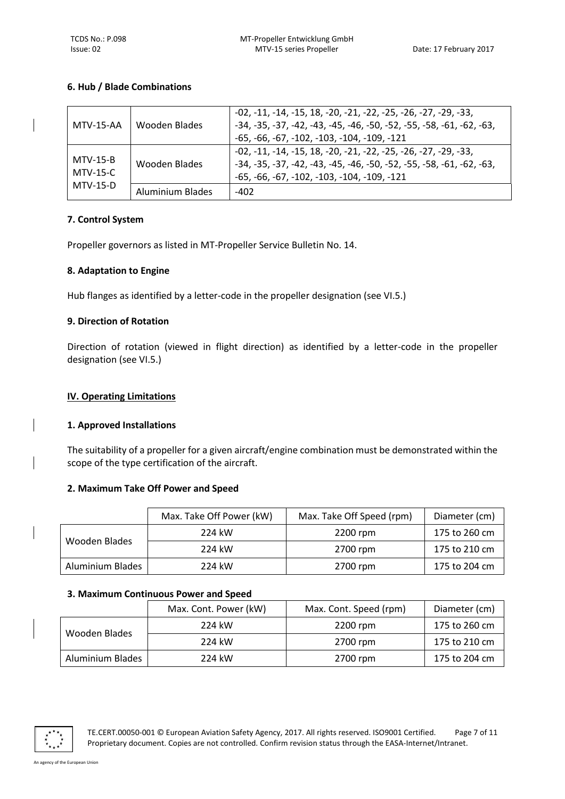## <span id="page-6-0"></span>**6. Hub / Blade Combinations**

| MTV-15-AA                            | Wooden Blades    | $-02, -11, -14, -15, 18, -20, -21, -22, -25, -26, -27, -29, -33,$<br>$-34, -35, -37, -42, -43, -45, -46, -50, -52, -55, -58, -61, -62, -63.$                                                  |
|--------------------------------------|------------------|-----------------------------------------------------------------------------------------------------------------------------------------------------------------------------------------------|
| $MTV-15-R$<br>MTV-15-C<br>$MTV-15-D$ |                  | $-65, -66, -67, -102, -103, -104, -109, -121$                                                                                                                                                 |
|                                      | Wooden Blades    | $-02, -11, -14, -15, 18, -20, -21, -22, -25, -26, -27, -29, -33,$<br>$-34, -35, -37, -42, -43, -45, -46, -50, -52, -55, -58, -61, -62, -63,$<br>$-65, -66, -67, -102, -103, -104, -109, -121$ |
|                                      | Aluminium Blades | $-402$                                                                                                                                                                                        |

#### <span id="page-6-1"></span>**7. Control System**

Propeller governors as listed in MT-Propeller Service Bulletin No. 14.

#### <span id="page-6-2"></span>**8. Adaptation to Engine**

Hub flanges as identified by a letter-code in the propeller designation (see VI.5.)

#### <span id="page-6-3"></span>**9. Direction of Rotation**

Direction of rotation (viewed in flight direction) as identified by a letter-code in the propeller designation (see VI.5.)

#### <span id="page-6-4"></span>**IV. Operating Limitations**

## <span id="page-6-5"></span>**1. Approved Installations**

The suitability of a propeller for a given aircraft/engine combination must be demonstrated within the scope of the type certification of the aircraft.

## <span id="page-6-6"></span>**2. Maximum Take Off Power and Speed**

|                  | Max. Take Off Power (kW) | Max. Take Off Speed (rpm) | Diameter (cm) |
|------------------|--------------------------|---------------------------|---------------|
|                  | 224 kW                   | 2200 rpm                  | 175 to 260 cm |
| Wooden Blades    | 224 kW                   | 2700 rpm                  | 175 to 210 cm |
| Aluminium Blades | 224 kW                   | 2700 rpm                  | 175 to 204 cm |

## <span id="page-6-7"></span>**3. Maximum Continuous Power and Speed**

|                  | Max. Cont. Power (kW) | Max. Cont. Speed (rpm) | Diameter (cm) |
|------------------|-----------------------|------------------------|---------------|
|                  | 224 kW                | 2200 rpm               | 175 to 260 cm |
| Wooden Blades    | 224 kW                | 2700 rpm               | 175 to 210 cm |
| Aluminium Blades | 224 kW                | 2700 rpm               | 175 to 204 cm |



<span id="page-6-8"></span>TE.CERT.00050-001 © European Aviation Safety Agency, 2017. All rights reserved. ISO9001 Certified. Page 7 of 11 Proprietary document. Copies are not controlled. Confirm revision status through the EASA-Internet/Intranet.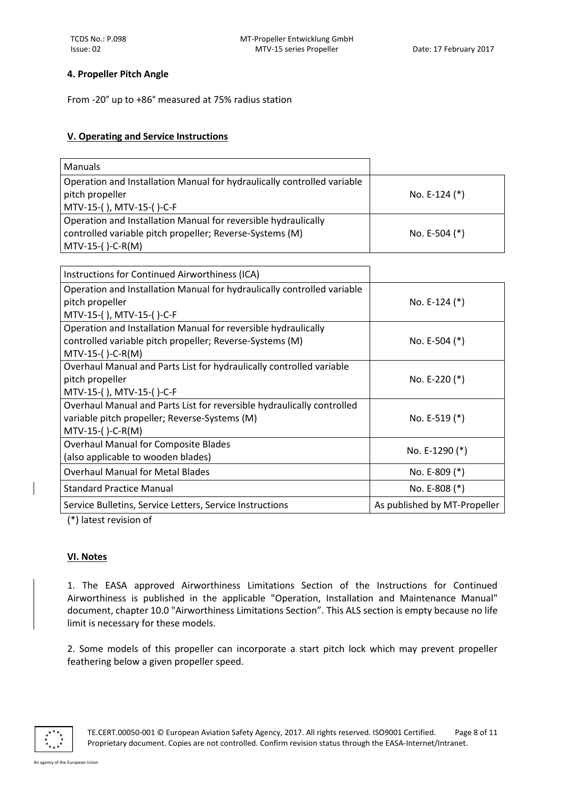## **4. Propeller Pitch Angle**

From -20° up to +86° measured at 75% radius station

## <span id="page-7-0"></span>**V. Operating and Service Instructions**

| <b>Manuals</b>                                                          |                 |
|-------------------------------------------------------------------------|-----------------|
| Operation and Installation Manual for hydraulically controlled variable |                 |
| pitch propeller                                                         | No. E-124 $(*)$ |
| MTV-15-(), MTV-15-()-C-F                                                |                 |
| Operation and Installation Manual for reversible hydraulically          |                 |
| controlled variable pitch propeller; Reverse-Systems (M)                | No. $E-504$ (*) |
| $MTV-15-($ )-C-R(M)                                                     |                 |

| Instructions for Continued Airworthiness (ICA)                          |                              |
|-------------------------------------------------------------------------|------------------------------|
| Operation and Installation Manual for hydraulically controlled variable |                              |
| pitch propeller                                                         | No. $E-124$ $(*)$            |
| MTV-15-(), MTV-15-()-C-F                                                |                              |
| Operation and Installation Manual for reversible hydraulically          |                              |
| controlled variable pitch propeller; Reverse-Systems (M)                | No. E-504 $(*)$              |
| $MTV-15-($ )-C-R(M)                                                     |                              |
| Overhaul Manual and Parts List for hydraulically controlled variable    |                              |
| pitch propeller                                                         | No. E-220 $(*)$              |
| MTV-15-(), MTV-15-()-C-F                                                |                              |
| Overhaul Manual and Parts List for reversible hydraulically controlled  |                              |
| variable pitch propeller; Reverse-Systems (M)                           | No. E-519 $(*)$              |
| $MTV-15-($ )-C-R(M)                                                     |                              |
| <b>Overhaul Manual for Composite Blades</b>                             | No. E-1290 (*)               |
| (also applicable to wooden blades)                                      |                              |
| <b>Overhaul Manual for Metal Blades</b>                                 | No. E-809 $(*)$              |
| <b>Standard Practice Manual</b>                                         | No. E-808 (*)                |
| Service Bulletins, Service Letters, Service Instructions                | As published by MT-Propeller |

(\*) latest revision of

## <span id="page-7-1"></span>**VI. Notes**

1. The EASA approved Airworthiness Limitations Section of the Instructions for Continued Airworthiness is published in the applicable "Operation, Installation and Maintenance Manual" document, chapter 10.0 "Airworthiness Limitations Section". This ALS section is empty because no life limit is necessary for these models.

2. Some models of this propeller can incorporate a start pitch lock which may prevent propeller feathering below a given propeller speed.

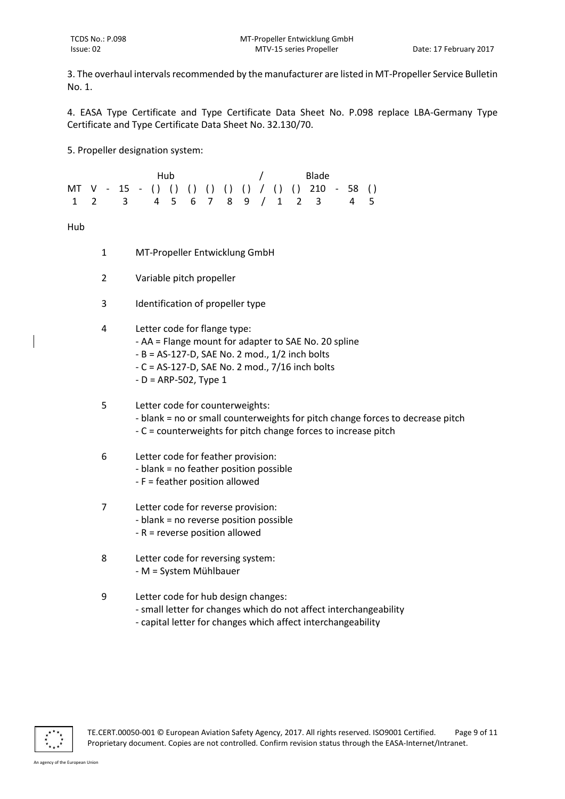3. The overhaul intervals recommended by the manufacturer are listed in MT-Propeller Service Bulletin No. 1.

4. EASA Type Certificate and Type Certificate Data Sheet No. P.098 replace LBA-Germany Type Certificate and Type Certificate Data Sheet No. 32.130/70.

5. Propeller designation system:

| and the state of the Blade<br>Hub |  |  |  |  |  |  |  |  |  |                                                      |  |  |
|-----------------------------------|--|--|--|--|--|--|--|--|--|------------------------------------------------------|--|--|
|                                   |  |  |  |  |  |  |  |  |  | MT V - 15 - () () () () () () () / () () 210 - 58 () |  |  |
|                                   |  |  |  |  |  |  |  |  |  | 1 2 3 4 5 6 7 8 9 / 1 2 3 4 5                        |  |  |

Hub

- 1 MT-Propeller Entwicklung GmbH
- 2 Variable pitch propeller
- 3 Identification of propeller type
- 4 Letter code for flange type:
	- AA = Flange mount for adapter to SAE No. 20 spline
	- B = AS-127-D, SAE No. 2 mod., 1/2 inch bolts
	- C = AS-127-D, SAE No. 2 mod., 7/16 inch bolts
	- $-D = ARP-502$ , Type 1

5 Letter code for counterweights:

- blank = no or small counterweights for pitch change forces to decrease pitch
- C = counterweights for pitch change forces to increase pitch

# 6 Letter code for feather provision:

- blank = no feather position possible
- F = feather position allowed

# 7 Letter code for reverse provision:

- blank = no reverse position possible
- R = reverse position allowed
- 8 Letter code for reversing system: - M = System Mühlbauer
- 9 Letter code for hub design changes:
	- small letter for changes which do not affect interchangeability
	- capital letter for changes which affect interchangeability

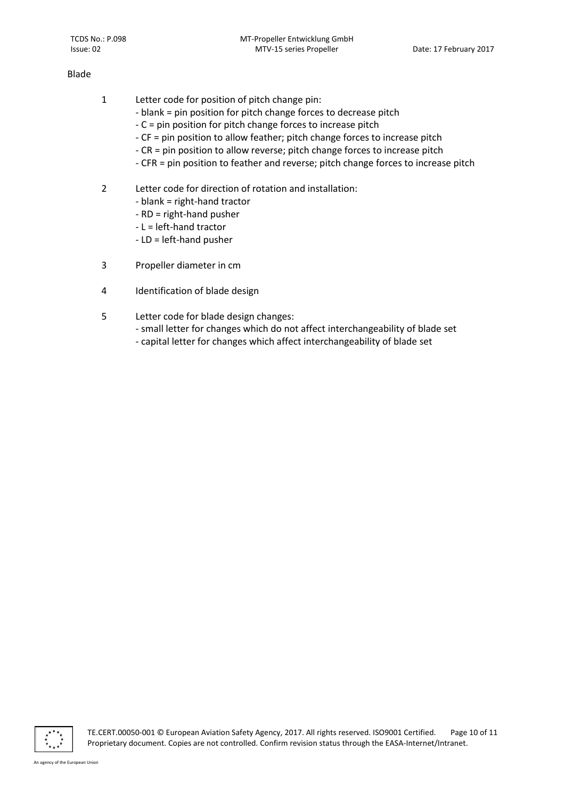#### Blade

- 1 Letter code for position of pitch change pin:
	- blank = pin position for pitch change forces to decrease pitch
	- C = pin position for pitch change forces to increase pitch
	- CF = pin position to allow feather; pitch change forces to increase pitch
	- CR = pin position to allow reverse; pitch change forces to increase pitch
	- CFR = pin position to feather and reverse; pitch change forces to increase pitch
- 2 Letter code for direction of rotation and installation:
	- blank = right-hand tractor
	- RD = right-hand pusher
	- L = left-hand tractor
	- LD = left-hand pusher
- 3 Propeller diameter in cm
- 4 Identification of blade design
- 5 Letter code for blade design changes:
	- small letter for changes which do not affect interchangeability of blade set
	- capital letter for changes which affect interchangeability of blade set